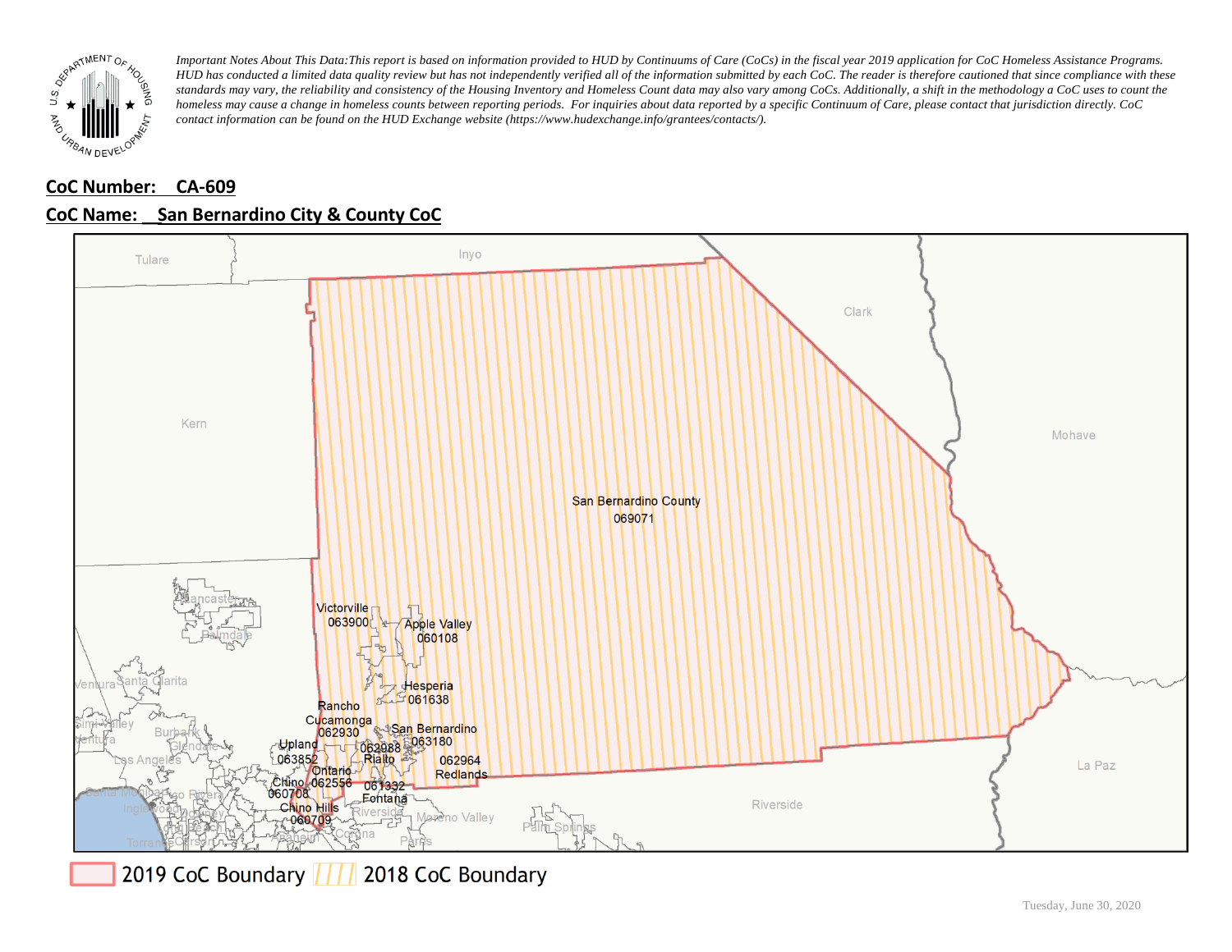

# **CoC Number: CA-609**



### **CoC Name: \_\_ San Bernardino City & County CoC**

2019 CoC Boundary | | | 2018 CoC Boundary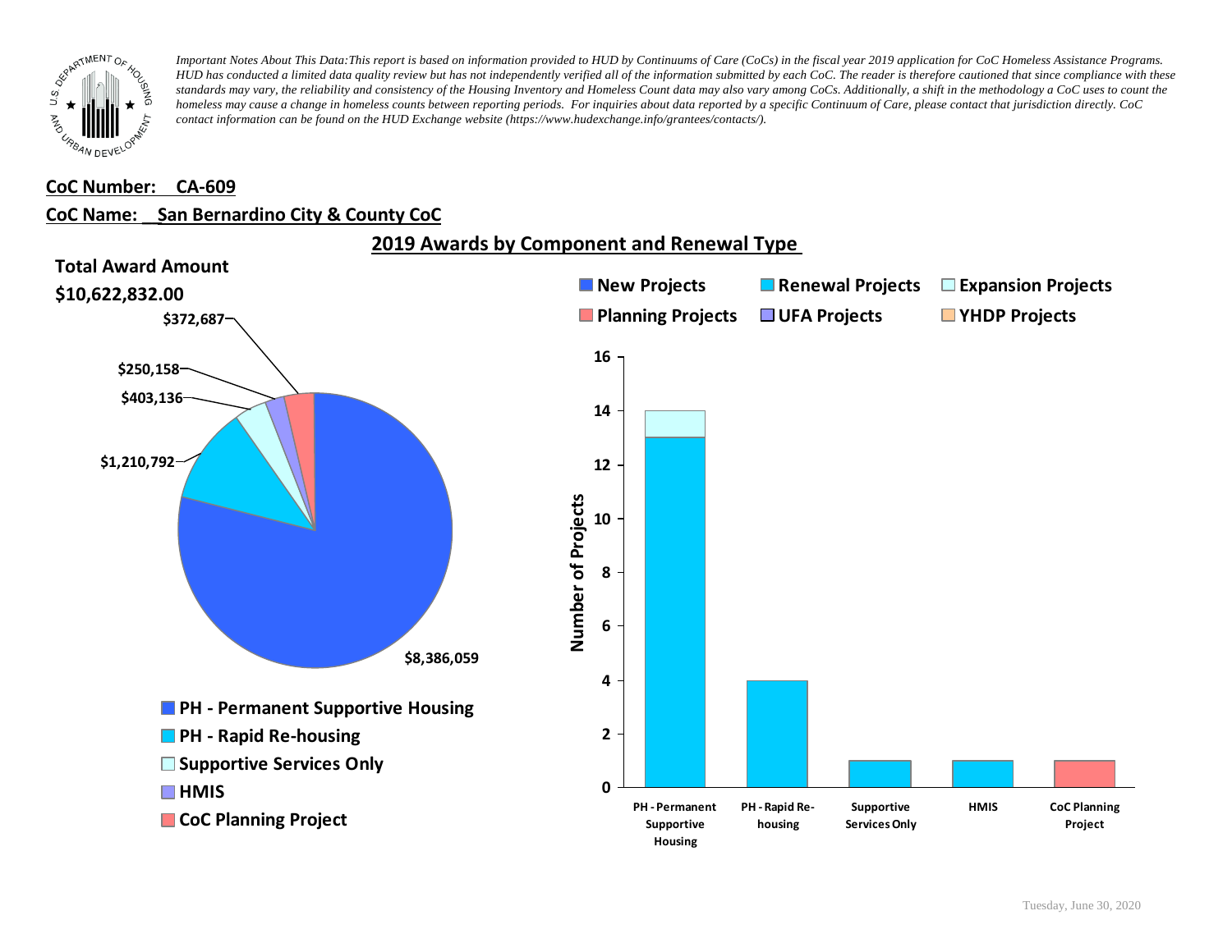

#### **CoC Number: CA-609**

### **CoC Name: \_\_ San Bernardino City & County CoC**

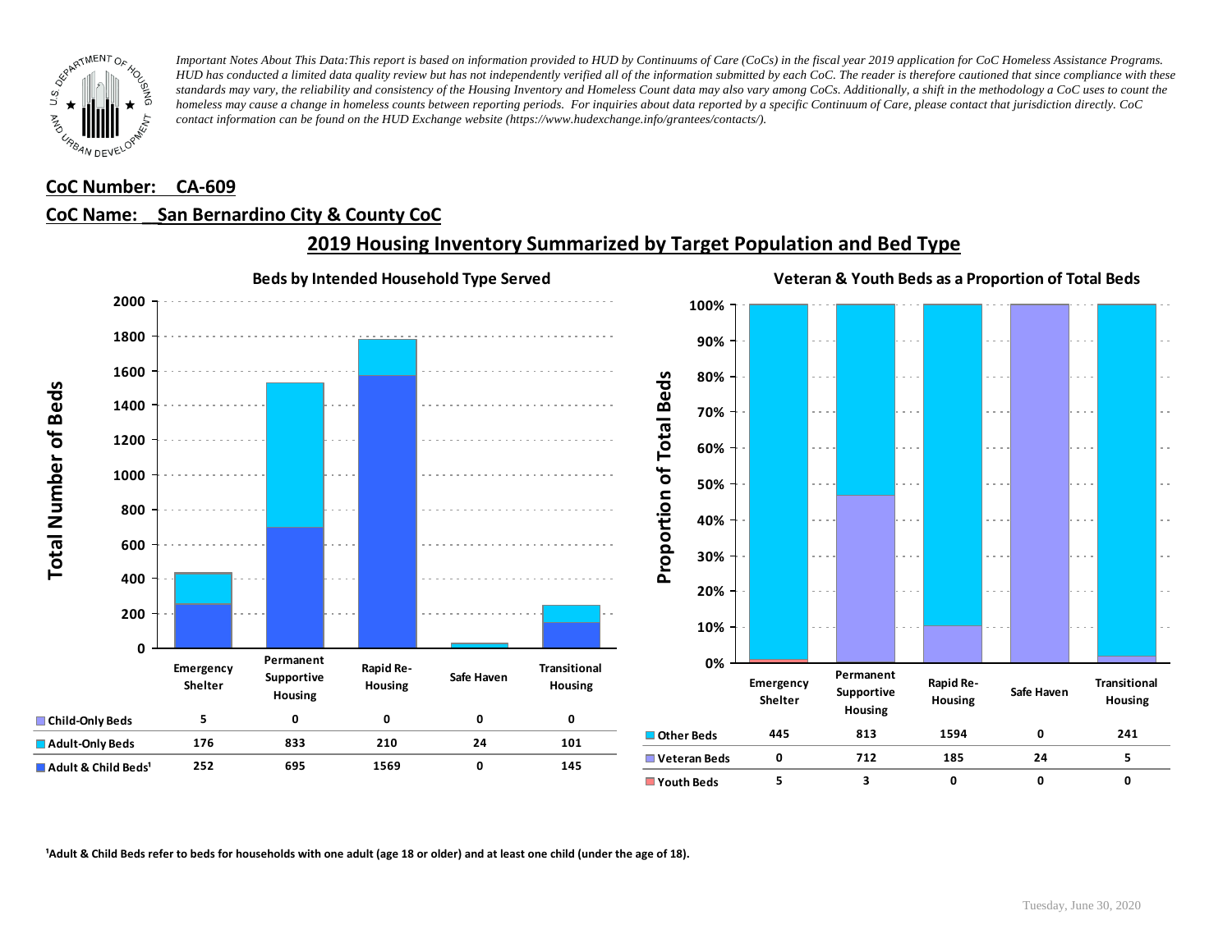

#### **CoC Number: CA-609**

### **CoC Name: \_\_ San Bernardino City & County CoC**



## **2019 Housing Inventory Summarized by Target Population and Bed Type**

<sup>1</sup> Adult & Child Beds refer to beds for households with one adult (age 18 or older) and at least one child (under the age of 18).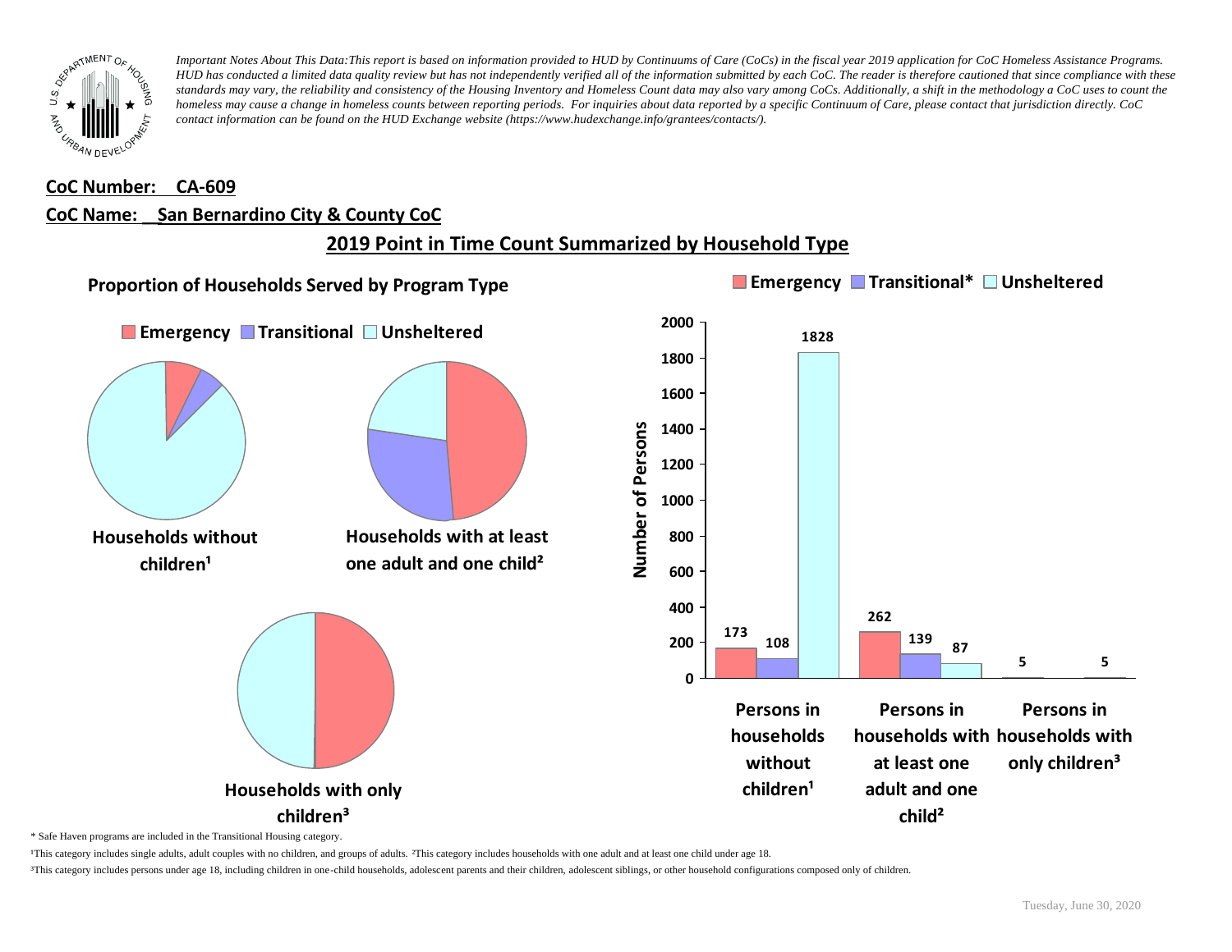

#### **CoC Number: CA-609**

#### **CoC Name: \_\_ San Bernardino City & County CoC**

# **2019 Point in Time Count Summarized by Household Type**



\* Safe Haven programs are included in the Transitional Housing category.

¹This category includes single adults, adult couples with no children, and groups of adults. ²This category includes households with one adult and at least one child under age 18.

³This category includes persons under age 18, including children in one-child households, adolescent parents and their children, adolescent siblings, or other household configurations composed only of children.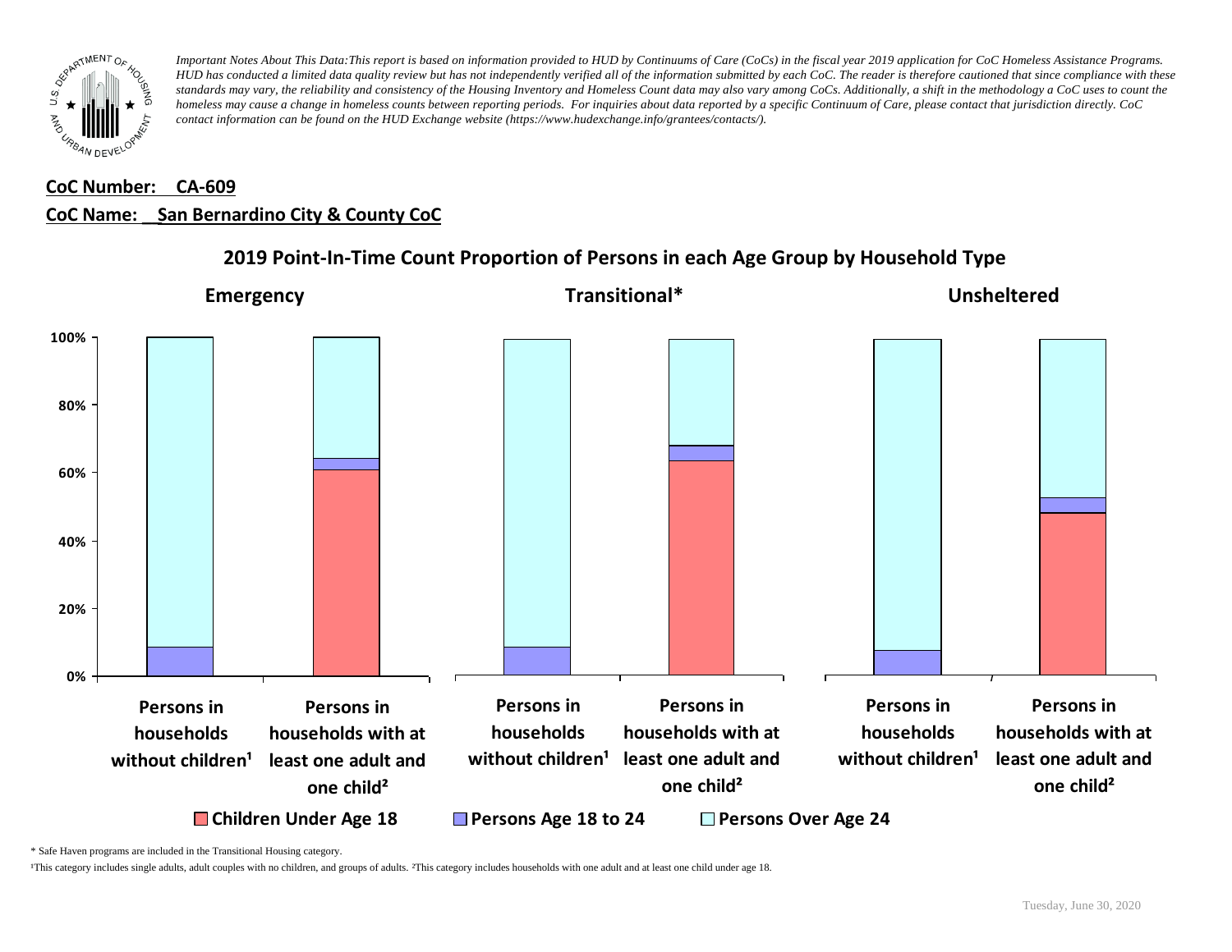

# **CoC Number: CA-609 CoC Name: \_\_ San Bernardino City & County CoC**



## **2019 Point-In-Time Count Proportion of Persons in each Age Group by Household Type**

\* Safe Haven programs are included in the Transitional Housing category.

¹This category includes single adults, adult couples with no children, and groups of adults. ²This category includes households with one adult and at least one child under age 18.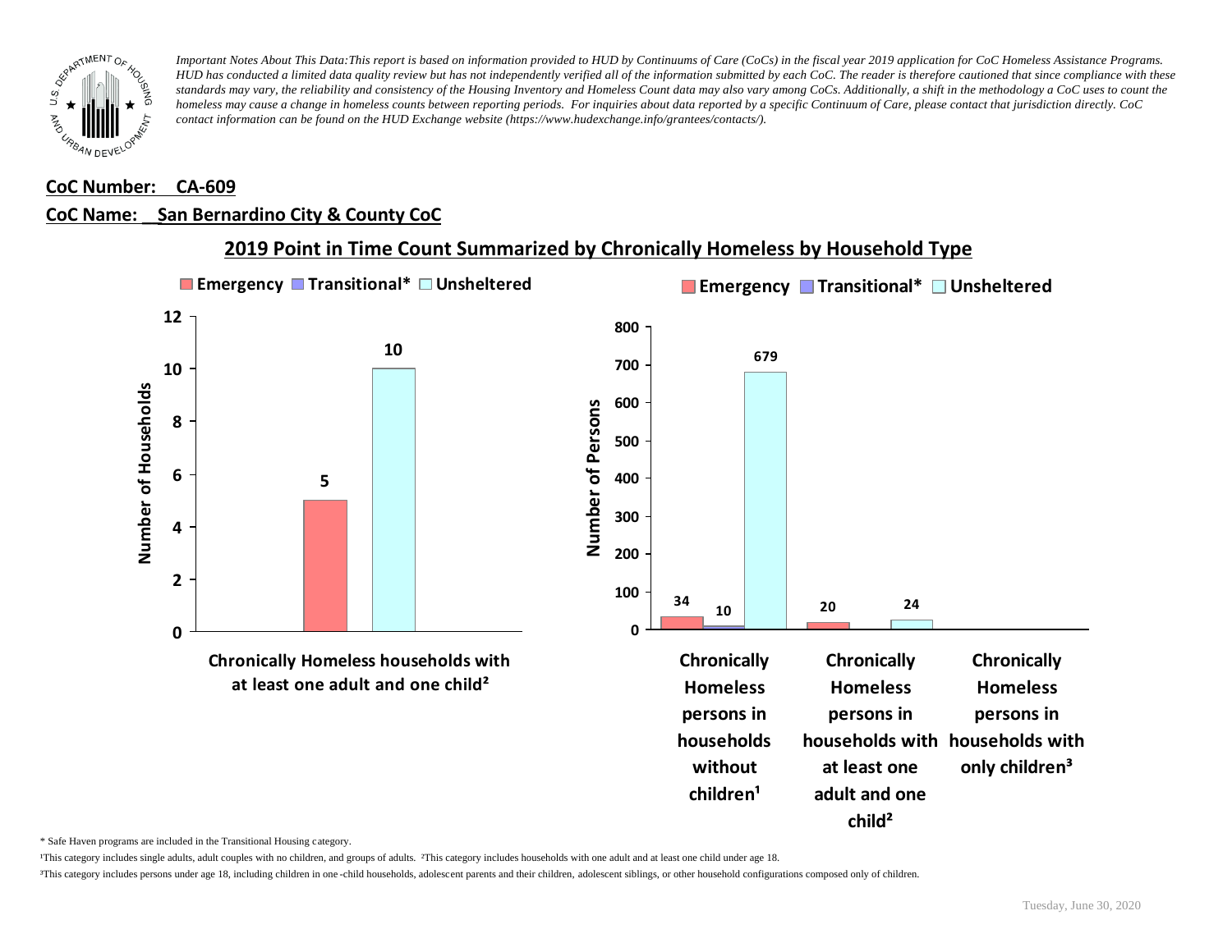

#### **CoC Number: CA-609**

### **CoC Name: \_\_ San Bernardino City & County CoC**



**2019 Point in Time Count Summarized by Chronically Homeless by Household Type**

\* Safe Haven programs are included in the Transitional Housing category.

¹This category includes single adults, adult couples with no children, and groups of adults. ²This category includes households with one adult and at least one child under age 18.

³This category includes persons under age 18, including children in one -child households, adolescent parents and their children, adolescent siblings, or other household configurations composed only of children.